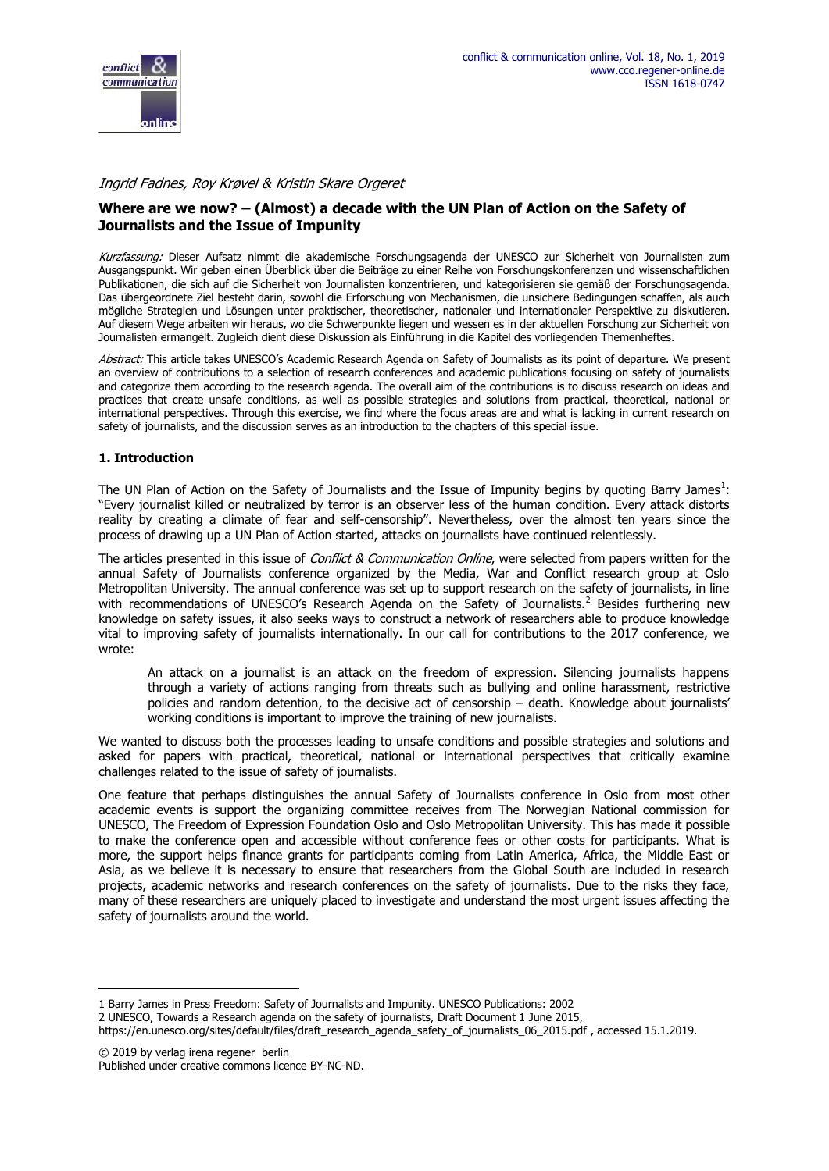

## *Ingrid Fadnes, Roy Krøvel & Kristin Skare Orgeret*

# **Where are we now? – (Almost) a decade with the UN Plan of Action on the Safety of Journalists and the Issue of Impunity**

*Kurzfassung:* Dieser Aufsatz nimmt die akademische Forschungsagenda der UNESCO zur Sicherheit von Journalisten zum Ausgangspunkt. Wir geben einen Überblick über die Beiträge zu einer Reihe von Forschungskonferenzen und wissenschaftlichen Publikationen, die sich auf die Sicherheit von Journalisten konzentrieren, und kategorisieren sie gemäß der Forschungsagenda. Das übergeordnete Ziel besteht darin, sowohl die Erforschung von Mechanismen, die unsichere Bedingungen schaffen, als auch mögliche Strategien und Lösungen unter praktischer, theoretischer, nationaler und internationaler Perspektive zu diskutieren. Auf diesem Wege arbeiten wir heraus, wo die Schwerpunkte liegen und wessen es in der aktuellen Forschung zur Sicherheit von Journalisten ermangelt. Zugleich dient diese Diskussion als Einführung in die Kapitel des vorliegenden Themenheftes.

*Abstract:* This article takes UNESCO's Academic Research Agenda on Safety of Journalists as its point of departure. We present an overview of contributions to a selection of research conferences and academic publications focusing on safety of journalists and categorize them according to the research agenda. The overall aim of the contributions is to discuss research on ideas and practices that create unsafe conditions, as well as possible strategies and solutions from practical, theoretical, national or international perspectives. Through this exercise, we find where the focus areas are and what is lacking in current research on safety of journalists, and the discussion serves as an introduction to the chapters of this special issue.

## **1. Introduction**

The UN Plan of Action on the Safety of Journalists and the Issue of Impunity begins by quoting Barry James<sup>1</sup>: "Every journalist killed or neutralized by terror is an observer less of the human condition. Every attack distorts reality by creating a climate of fear and self-censorship". Nevertheless, over the almost ten years since the process of drawing up a UN Plan of Action started, attacks on journalists have continued relentlessly.

The articles presented in this issue of *Conflict & Communication Online*, were selected from papers written for the annual Safety of Journalists conference organized by the Media, War and Conflict research group at Oslo Metropolitan University. The annual conference was set up to support research on the safety of journalists, in line with recommendations of UNESCO's Research Agenda on the Safety of Journalists.<sup>2</sup> Besides furthering new knowledge on safety issues, it also seeks ways to construct a network of researchers able to produce knowledge vital to improving safety of journalists internationally. In our call for contributions to the 2017 conference, we wrote:

An attack on a journalist is an attack on the freedom of expression. Silencing journalists happens through a variety of actions ranging from threats such as bullying and online harassment, restrictive policies and random detention, to the decisive act of censorship – death. Knowledge about journalists' working conditions is important to improve the training of new journalists.

We wanted to discuss both the processes leading to unsafe conditions and possible strategies and solutions and asked for papers with practical, theoretical, national or international perspectives that critically examine challenges related to the issue of safety of journalists.

One feature that perhaps distinguishes the annual Safety of Journalists conference in Oslo from most other academic events is support the organizing committee receives from The Norwegian National commission for UNESCO, The Freedom of Expression Foundation Oslo and Oslo Metropolitan University. This has made it possible to make the conference open and accessible without conference fees or other costs for participants. What is more, the support helps finance grants for participants coming from Latin America, Africa, the Middle East or Asia, as we believe it is necessary to ensure that researchers from the Global South are included in research projects, academic networks and research conferences on the safety of journalists. Due to the risks they face, many of these researchers are uniquely placed to investigate and understand the most urgent issues affecting the safety of journalists around the world.

<sup>1</sup> Barry James in Press Freedom: Safety of Journalists and Impunity. UNESCO Publications: 2002

<sup>2</sup> UNESCO, Towards a Research agenda on the safety of journalists, Draft Document 1 June 2015,

https://en.unesco.org/sites/default/files/draft\_research\_agenda\_safety\_of\_journalists\_06\_2015.pdf , accessed 15.1.2019.

<sup>© 2019</sup> by verlag irena regener berlin Published under creative commons licence BY-NC-ND.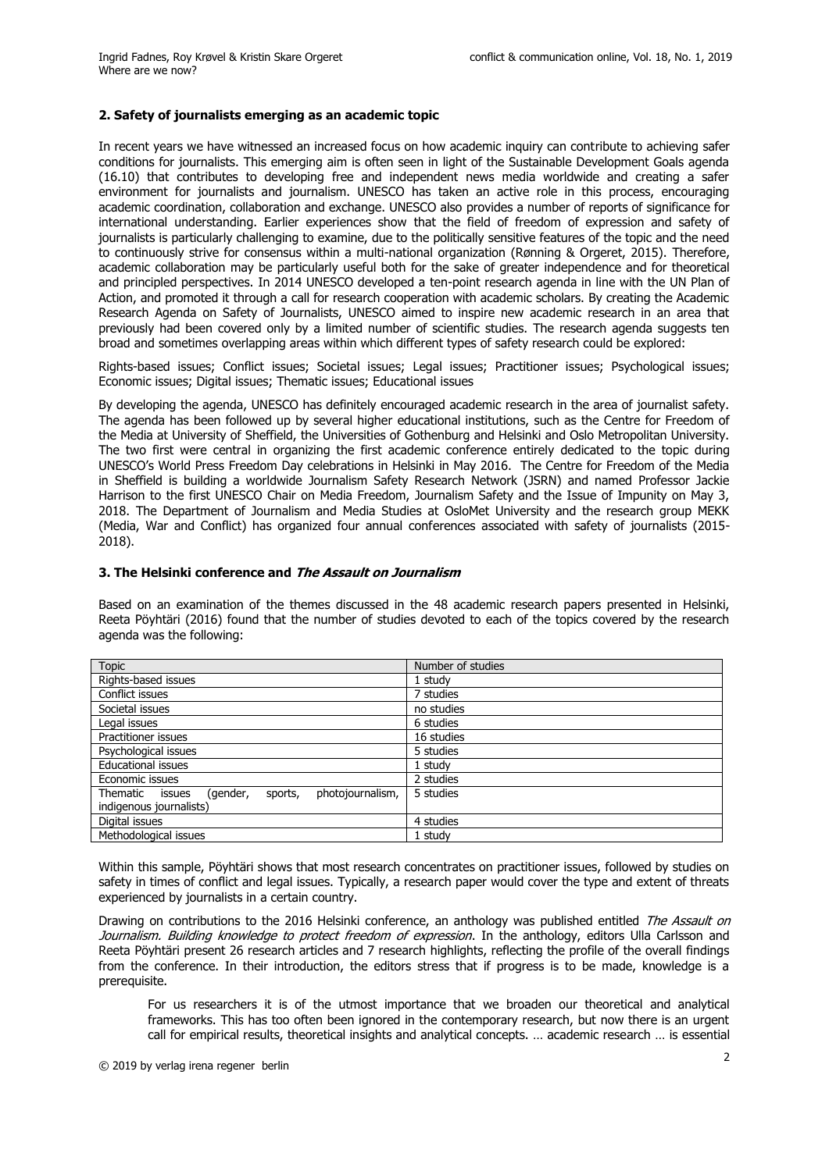#### **2. Safety of journalists emerging as an academic topic**

In recent years we have witnessed an increased focus on how academic inquiry can contribute to achieving safer conditions for journalists. This emerging aim is often seen in light of the Sustainable Development Goals agenda (16.10) that contributes to developing free and independent news media worldwide and creating a safer environment for journalists and journalism. UNESCO has taken an active role in this process, encouraging academic coordination, collaboration and exchange. UNESCO also provides a number of reports of significance for international understanding. Earlier experiences show that the field of freedom of expression and safety of journalists is particularly challenging to examine, due to the politically sensitive features of the topic and the need to continuously strive for consensus within a multi-national organization (Rønning & Orgeret, 2015). Therefore, academic collaboration may be particularly useful both for the sake of greater independence and for theoretical and principled perspectives. In 2014 UNESCO developed a ten-point research agenda in line with the UN Plan of Action, and promoted it through a call for research cooperation with academic scholars. By creating the Academic Research Agenda on Safety of Journalists, UNESCO aimed to inspire new academic research in an area that previously had been covered only by a limited number of scientific studies. The research agenda suggests ten broad and sometimes overlapping areas within which different types of safety research could be explored:

Rights-based issues; Conflict issues; Societal issues; Legal issues; Practitioner issues; Psychological issues; Economic issues; Digital issues; Thematic issues; Educational issues

By developing the agenda, UNESCO has definitely encouraged academic research in the area of journalist safety. The agenda has been followed up by several higher educational institutions, such as the Centre for Freedom of the Media at University of Sheffield, the Universities of Gothenburg and Helsinki and Oslo Metropolitan University. The two first were central in organizing the first academic conference entirely dedicated to the topic during UNESCO's World Press Freedom Day celebrations in Helsinki in May 2016. The Centre for Freedom of the Media in Sheffield is building a worldwide Journalism Safety Research Network (JSRN) and named Professor Jackie Harrison to the first UNESCO Chair on Media Freedom, Journalism Safety and the Issue of Impunity on May 3, 2018. The Department of Journalism and Media Studies at OsloMet University and the research group MEKK (Media, War and Conflict) has organized four annual conferences associated with safety of journalists (2015- 2018).

#### **3. The Helsinki conference and** *The Assault on Journalism*

Based on an examination of the themes discussed in the 48 academic research papers presented in Helsinki, Reeta Pöyhtäri (2016) found that the number of studies devoted to each of the topics covered by the research agenda was the following:

| <b>Topic</b>                                               | Number of studies |
|------------------------------------------------------------|-------------------|
| Rights-based issues                                        | 1 studv           |
| Conflict issues                                            | 7 studies         |
| Societal issues                                            | no studies        |
| Legal issues                                               | 6 studies         |
| Practitioner issues                                        | 16 studies        |
| Psychological issues                                       | 5 studies         |
| <b>Educational issues</b>                                  | 1 study           |
| Economic issues                                            | 2 studies         |
| photojournalism,<br>Thematic issues<br>(gender,<br>sports, | 5 studies         |
| indigenous journalists)                                    |                   |
| Digital issues                                             | 4 studies         |
| Methodological issues                                      | 1 studv           |

Within this sample, Pöyhtäri shows that most research concentrates on practitioner issues, followed by studies on safety in times of conflict and legal issues. Typically, a research paper would cover the type and extent of threats experienced by journalists in a certain country.

Drawing on contributions to the 2016 Helsinki conference, an anthology was published entitled *The Assault on Journalism. Building knowledge to protect freedom of expression*. In the anthology, editors Ulla Carlsson and Reeta Pöyhtäri present 26 research articles and 7 research highlights, reflecting the profile of the overall findings from the conference. In their introduction, the editors stress that if progress is to be made, knowledge is a prerequisite.

For us researchers it is of the utmost importance that we broaden our theoretical and analytical frameworks. This has too often been ignored in the contemporary research, but now there is an urgent call for empirical results, theoretical insights and analytical concepts. … academic research … is essential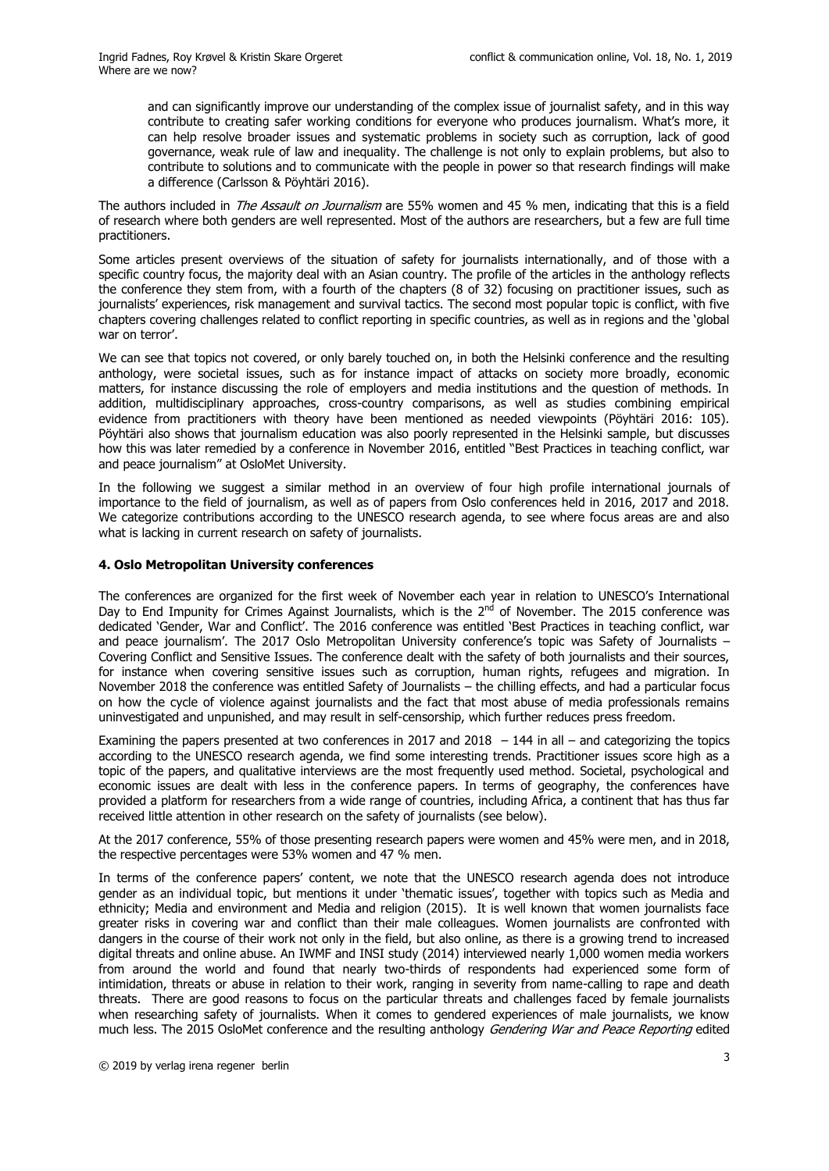and can significantly improve our understanding of the complex issue of journalist safety, and in this way contribute to creating safer working conditions for everyone who produces journalism. What's more, it can help resolve broader issues and systematic problems in society such as corruption, lack of good governance, weak rule of law and inequality. The challenge is not only to explain problems, but also to contribute to solutions and to communicate with the people in power so that research findings will make a difference (Carlsson & Pöyhtäri 2016).

The authors included in *The Assault on Journalism* are 55% women and 45 % men, indicating that this is a field of research where both genders are well represented. Most of the authors are researchers, but a few are full time practitioners.

Some articles present overviews of the situation of safety for journalists internationally, and of those with a specific country focus, the majority deal with an Asian country. The profile of the articles in the anthology reflects the conference they stem from, with a fourth of the chapters (8 of 32) focusing on practitioner issues, such as journalists' experiences, risk management and survival tactics. The second most popular topic is conflict, with five chapters covering challenges related to conflict reporting in specific countries, as well as in regions and the 'global war on terror'.

We can see that topics not covered, or only barely touched on, in both the Helsinki conference and the resulting anthology, were societal issues, such as for instance impact of attacks on society more broadly, economic matters, for instance discussing the role of employers and media institutions and the question of methods. In addition, multidisciplinary approaches, cross-country comparisons, as well as studies combining empirical evidence from practitioners with theory have been mentioned as needed viewpoints (Pöyhtäri 2016: 105). Pöyhtäri also shows that journalism education was also poorly represented in the Helsinki sample, but discusses how this was later remedied by a conference in November 2016, entitled "Best Practices in teaching conflict, war and peace journalism" at OsloMet University.

In the following we suggest a similar method in an overview of four high profile international journals of importance to the field of journalism, as well as of papers from Oslo conferences held in 2016, 2017 and 2018. We categorize contributions according to the UNESCO research agenda, to see where focus areas are and also what is lacking in current research on safety of journalists.

#### **4. Oslo Metropolitan University conferences**

The conferences are organized for the first week of November each year in relation to UNESCO's International Day to End Impunity for Crimes Against Journalists, which is the 2<sup>nd</sup> of November. The 2015 conference was dedicated 'Gender, War and Conflict'. The 2016 conference was entitled 'Best Practices in teaching conflict, war and peace journalism'. The 2017 Oslo Metropolitan University conference's topic was Safety of Journalists -Covering Conflict and Sensitive Issues. The conference dealt with the safety of both journalists and their sources, for instance when covering sensitive issues such as corruption, human rights, refugees and migration. In November 2018 the conference was entitled Safety of Journalists – the chilling effects, and had a particular focus on how the cycle of violence against journalists and the fact that most abuse of media professionals remains uninvestigated and unpunished, and may result in self-censorship, which further reduces press freedom.

Examining the papers presented at two conferences in 2017 and 2018  $-144$  in all – and categorizing the topics according to the UNESCO research agenda, we find some interesting trends. Practitioner issues score high as a topic of the papers, and qualitative interviews are the most frequently used method. Societal, psychological and economic issues are dealt with less in the conference papers. In terms of geography, the conferences have provided a platform for researchers from a wide range of countries, including Africa, a continent that has thus far received little attention in other research on the safety of journalists (see below).

At the 2017 conference, 55% of those presenting research papers were women and 45% were men, and in 2018, the respective percentages were 53% women and 47 % men.

In terms of the conference papers' content, we note that the UNESCO research agenda does not introduce gender as an individual topic, but mentions it under 'thematic issues', together with topics such as Media and ethnicity; Media and environment and Media and religion (2015). It is well known that women journalists face greater risks in covering war and conflict than their male colleagues. Women journalists are confronted with dangers in the course of their work not only in the field, but also online, as there is a growing trend to increased digital threats and online abuse. An IWMF and INSI study (2014) interviewed nearly 1,000 women media workers from around the world and found that nearly two-thirds of respondents had experienced some form of intimidation, threats or abuse in relation to their work, ranging in severity from name-calling to rape and death threats. There are good reasons to focus on the particular threats and challenges faced by female journalists when researching safety of journalists. When it comes to gendered experiences of male journalists, we know much less. The 2015 OsloMet conference and the resulting anthology *Gendering War and Peace Reporting* edited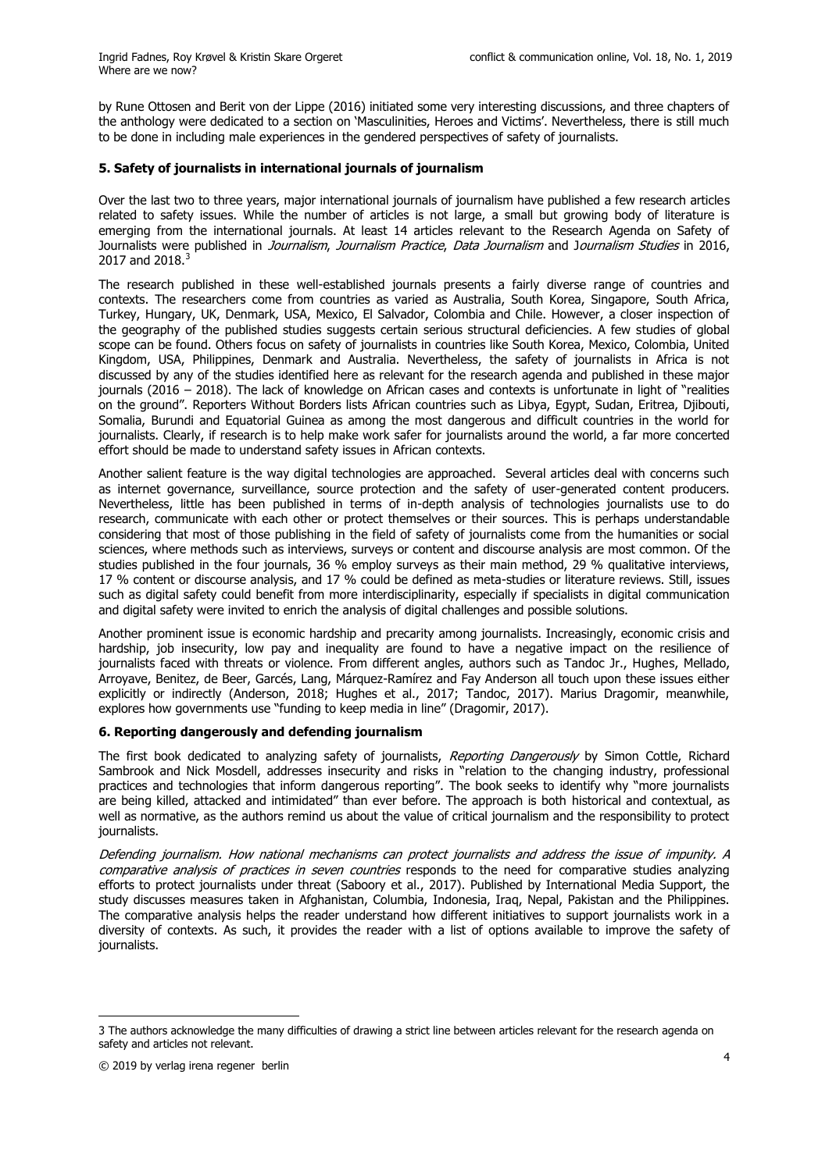by Rune Ottosen and Berit von der Lippe (2016) initiated some very interesting discussions, and three chapters of the anthology were dedicated to a section on 'Masculinities, Heroes and Victims'. Nevertheless, there is still much to be done in including male experiences in the gendered perspectives of safety of journalists.

## **5. Safety of journalists in international journals of journalism**

Over the last two to three years, major international journals of journalism have published a few research articles related to safety issues. While the number of articles is not large, a small but growing body of literature is emerging from the international journals. At least 14 articles relevant to the Research Agenda on Safety of Journalists were published in *Journalism*, *Journalism Practice*, *Data Journalism* and J*ournalism Studies* in 2016, 2017 and 2018.<sup>3</sup>

The research published in these well-established journals presents a fairly diverse range of countries and contexts. The researchers come from countries as varied as Australia, South Korea, Singapore, South Africa, Turkey, Hungary, UK, Denmark, USA, Mexico, El Salvador, Colombia and Chile. However, a closer inspection of the geography of the published studies suggests certain serious structural deficiencies. A few studies of global scope can be found. Others focus on safety of journalists in countries like South Korea, Mexico, Colombia, United Kingdom, USA, Philippines, Denmark and Australia. Nevertheless, the safety of journalists in Africa is not discussed by any of the studies identified here as relevant for the research agenda and published in these major journals (2016 – 2018). The lack of knowledge on African cases and contexts is unfortunate in light of "realities on the ground". Reporters Without Borders lists African countries such as Libya, Egypt, Sudan, Eritrea, Djibouti, Somalia, Burundi and Equatorial Guinea as among the most dangerous and difficult countries in the world for journalists. Clearly, if research is to help make work safer for journalists around the world, a far more concerted effort should be made to understand safety issues in African contexts.

Another salient feature is the way digital technologies are approached. Several articles deal with concerns such as internet governance, surveillance, source protection and the safety of user-generated content producers. Nevertheless, little has been published in terms of in-depth analysis of technologies journalists use to do research, communicate with each other or protect themselves or their sources. This is perhaps understandable considering that most of those publishing in the field of safety of journalists come from the humanities or social sciences, where methods such as interviews, surveys or content and discourse analysis are most common. Of the studies published in the four journals, 36 % employ surveys as their main method, 29 % qualitative interviews, 17 % content or discourse analysis, and 17 % could be defined as meta-studies or literature reviews. Still, issues such as digital safety could benefit from more interdisciplinarity, especially if specialists in digital communication and digital safety were invited to enrich the analysis of digital challenges and possible solutions.

Another prominent issue is economic hardship and precarity among journalists. Increasingly, economic crisis and hardship, job insecurity, low pay and inequality are found to have a negative impact on the resilience of journalists faced with threats or violence. From different angles, authors such as Tandoc Jr., Hughes, Mellado, Arroyave, Benitez, de Beer, Garcés, Lang, Márquez-Ramírez and Fay Anderson all touch upon these issues either explicitly or indirectly (Anderson, 2018; Hughes et al., 2017; Tandoc, 2017). Marius Dragomir, meanwhile, explores how governments use "funding to keep media in line" (Dragomir, 2017).

## **6. Reporting dangerously and defending journalism**

The first book dedicated to analyzing safety of journalists, *Reporting Dangerously* by Simon Cottle, Richard Sambrook and Nick Mosdell, addresses insecurity and risks in "relation to the changing industry, professional practices and technologies that inform dangerous reporting". The book seeks to identify why "more journalists are being killed, attacked and intimidated" than ever before. The approach is both historical and contextual, as well as normative, as the authors remind us about the value of critical journalism and the responsibility to protect journalists.

*Defending journalism. How national mechanisms can protect journalists and address the issue of impunity. A comparative analysis of practices in seven countries* responds to the need for comparative studies analyzing efforts to protect journalists under threat (Saboory et al., 2017). Published by International Media Support, the study discusses measures taken in Afghanistan, Columbia, Indonesia, Iraq, Nepal, Pakistan and the Philippines. The comparative analysis helps the reader understand how different initiatives to support journalists work in a diversity of contexts. As such, it provides the reader with a list of options available to improve the safety of journalists.

<sup>3</sup> The authors acknowledge the many difficulties of drawing a strict line between articles relevant for the research agenda on safety and articles not relevant.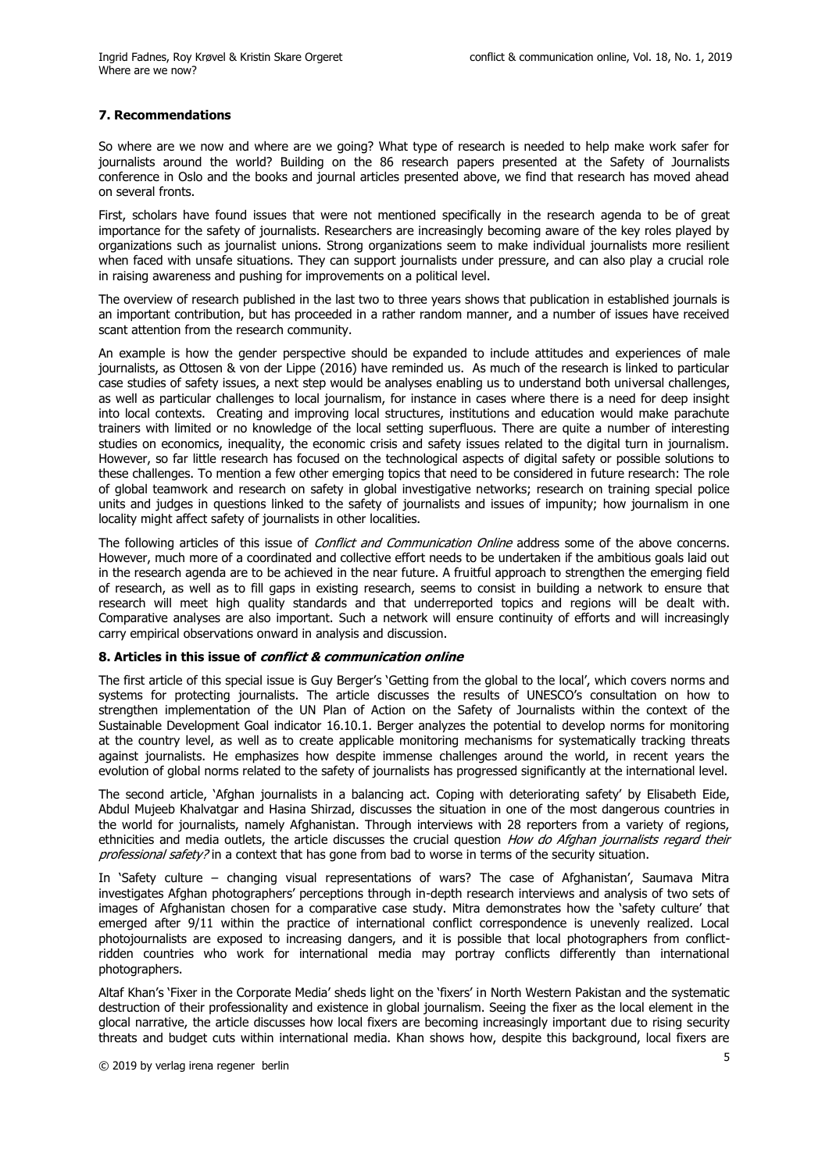## **7. Recommendations**

So where are we now and where are we going? What type of research is needed to help make work safer for journalists around the world? Building on the 86 research papers presented at the Safety of Journalists conference in Oslo and the books and journal articles presented above, we find that research has moved ahead on several fronts.

First, scholars have found issues that were not mentioned specifically in the research agenda to be of great importance for the safety of journalists. Researchers are increasingly becoming aware of the key roles played by organizations such as journalist unions. Strong organizations seem to make individual journalists more resilient when faced with unsafe situations. They can support journalists under pressure, and can also play a crucial role in raising awareness and pushing for improvements on a political level.

The overview of research published in the last two to three years shows that publication in established journals is an important contribution, but has proceeded in a rather random manner, and a number of issues have received scant attention from the research community.

An example is how the gender perspective should be expanded to include attitudes and experiences of male journalists, as Ottosen & von der Lippe (2016) have reminded us. As much of the research is linked to particular case studies of safety issues, a next step would be analyses enabling us to understand both universal challenges, as well as particular challenges to local journalism, for instance in cases where there is a need for deep insight into local contexts. Creating and improving local structures, institutions and education would make parachute trainers with limited or no knowledge of the local setting superfluous. There are quite a number of interesting studies on economics, inequality, the economic crisis and safety issues related to the digital turn in journalism. However, so far little research has focused on the technological aspects of digital safety or possible solutions to these challenges. To mention a few other emerging topics that need to be considered in future research: The role of global teamwork and research on safety in global investigative networks; research on training special police units and judges in questions linked to the safety of journalists and issues of impunity; how journalism in one locality might affect safety of journalists in other localities.

The following articles of this issue of *Conflict and Communication Online* address some of the above concerns. However, much more of a coordinated and collective effort needs to be undertaken if the ambitious goals laid out in the research agenda are to be achieved in the near future. A fruitful approach to strengthen the emerging field of research, as well as to fill gaps in existing research, seems to consist in building a network to ensure that research will meet high quality standards and that underreported topics and regions will be dealt with. Comparative analyses are also important. Such a network will ensure continuity of efforts and will increasingly carry empirical observations onward in analysis and discussion.

#### **8. Articles in this issue of** *conflict & communication online*

The first article of this special issue is Guy Berger's 'Getting from the global to the local', which covers norms and systems for protecting journalists. The article discusses the results of UNESCO's consultation on how to strengthen implementation of the UN Plan of Action on the Safety of Journalists within the context of the Sustainable Development Goal indicator 16.10.1. Berger analyzes the potential to develop norms for monitoring at the country level, as well as to create applicable monitoring mechanisms for systematically tracking threats against journalists. He emphasizes how despite immense challenges around the world, in recent years the evolution of global norms related to the safety of journalists has progressed significantly at the international level.

The second article, 'Afghan journalists in a balancing act. Coping with deteriorating safety' by Elisabeth Eide, Abdul Mujeeb Khalvatgar and Hasina Shirzad, discusses the situation in one of the most dangerous countries in the world for journalists, namely Afghanistan. Through interviews with 28 reporters from a variety of regions, ethnicities and media outlets, the article discusses the crucial question *How do Afghan journalists regard their professional safety?* in a context that has gone from bad to worse in terms of the security situation.

In 'Safety culture – changing visual representations of wars? The case of Afghanistan', Saumava Mitra investigates Afghan photographers' perceptions through in-depth research interviews and analysis of two sets of images of Afghanistan chosen for a comparative case study. Mitra demonstrates how the 'safety culture' that emerged after 9/11 within the practice of international conflict correspondence is unevenly realized. Local photojournalists are exposed to increasing dangers, and it is possible that local photographers from conflictridden countries who work for international media may portray conflicts differently than international photographers.

Altaf Khan's 'Fixer in the Corporate Media' sheds light on the 'fixers' in North Western Pakistan and the systematic destruction of their professionality and existence in global journalism. Seeing the fixer as the local element in the glocal narrative, the article discusses how local fixers are becoming increasingly important due to rising security threats and budget cuts within international media. Khan shows how, despite this background, local fixers are